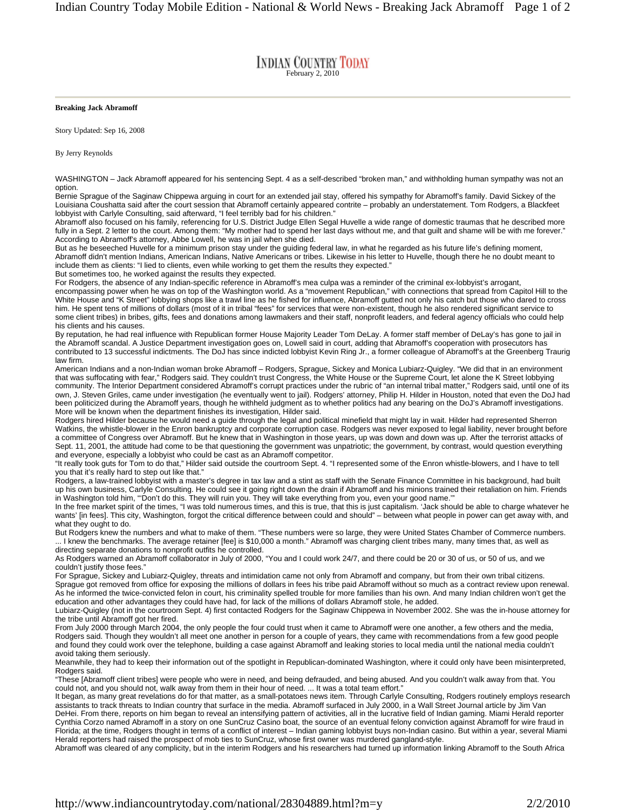## **INDIAN COUNTRY TODAY**

## **Breaking Jack Abramoff**

Story Updated: Sep 16, 2008

By Jerry Reynolds

WASHINGTON – Jack Abramoff appeared for his sentencing Sept. 4 as a self-described "broken man," and withholding human sympathy was not an option.

Bernie Sprague of the Saginaw Chippewa arguing in court for an extended jail stay, offered his sympathy for Abramoff's family. David Sickey of the Louisiana Coushatta said after the court session that Abramoff certainly appeared contrite – probably an understatement. Tom Rodgers, a Blackfeet lobbyist with Carlyle Consulting, said afterward, "I feel terribly bad for his children."

Abramoff also focused on his family, referencing for U.S. District Judge Ellen Segal Huvelle a wide range of domestic traumas that he described more fully in a Sept. 2 letter to the court. Among them: "My mother had to spend her last days without me, and that guilt and shame will be with me forever." According to Abramoff's attorney, Abbe Lowell, he was in jail when she died.

But as he beseeched Huvelle for a minimum prison stay under the guiding federal law, in what he regarded as his future life's defining moment, Abramoff didn't mention Indians, American Indians, Native Americans or tribes. Likewise in his letter to Huvelle, though there he no doubt meant to include them as clients: "I lied to clients, even while working to get them the results they expected."

But sometimes too, he worked against the results they expected.

For Rodgers, the absence of any Indian-specific reference in Abramoff's mea culpa was a reminder of the criminal ex-lobbyist's arrogant, encompassing power when he was on top of the Washington world. As a "movement Republican," with connections that spread from Capitol Hill to the White House and "K Street" lobbying shops like a trawl line as he fished for influence, Abramoff gutted not only his catch but those who dared to cross him. He spent tens of millions of dollars (most of it in tribal "fees" for services that were non-existent, though he also rendered significant service to some client tribes) in bribes, gifts, fees and donations among lawmakers and their staff, nonprofit leaders, and federal agency officials who could help his clients and his causes.

By reputation, he had real influence with Republican former House Majority Leader Tom DeLay. A former staff member of DeLay's has gone to jail in the Abramoff scandal. A Justice Department investigation goes on, Lowell said in court, adding that Abramoff's cooperation with prosecutors has contributed to 13 successful indictments. The DoJ has since indicted lobbyist Kevin Ring Jr., a former colleague of Abramoff's at the Greenberg Traurig law firm.

American Indians and a non-Indian woman broke Abramoff – Rodgers, Sprague, Sickey and Monica Lubiarz-Quigley. "We did that in an environment that was suffocating with fear," Rodgers said. They couldn't trust Congress, the White House or the Supreme Court, let alone the K Street lobbying community. The Interior Department considered Abramoff's corrupt practices under the rubric of "an internal tribal matter," Rodgers said, until one of its own, J. Steven Griles, came under investigation (he eventually went to jail). Rodgers' attorney, Philip H. Hilder in Houston, noted that even the DoJ had been politicized during the Abramoff years, though he withheld judgment as to whether politics had any bearing on the DoJ's Abramoff investigations. More will be known when the department finishes its investigation, Hilder said.

Rodgers hired Hilder because he would need a guide through the legal and political minefield that might lay in wait. Hilder had represented Sherron Watkins, the whistle-blower in the Enron bankruptcy and corporate corruption case. Rodgers was never exposed to legal liability, never brought before a committee of Congress over Abramoff. But he knew that in Washington in those years, up was down and down was up. After the terrorist attacks of Sept. 11, 2001, the attitude had come to be that questioning the government was unpatriotic; the government, by contrast, would question everything and everyone, especially a lobbyist who could be cast as an Abramoff competitor.

"It really took guts for Tom to do that," Hilder said outside the courtroom Sept. 4. "I represented some of the Enron whistle-blowers, and I have to tell you that it's really hard to step out like that."

Rodgers, a law-trained lobbyist with a master's degree in tax law and a stint as staff with the Senate Finance Committee in his background, had built up his own business, Carlyle Consulting. He could see it going right down the drain if Abramoff and his minions trained their retaliation on him. Friends in Washington told him, "'Don't do this. They will ruin you. They will take everything from you, even your good name.'"

In the free market spirit of the times, "I was told numerous times, and this is true, that this is just capitalism. 'Jack should be able to charge whatever he wants' [in fees]. This city, Washington, forgot the critical difference between could and should" – between what people in power can get away with, and what they ought to do.

But Rodgers knew the numbers and what to make of them. "These numbers were so large, they were United States Chamber of Commerce numbers. ... I knew the benchmarks. The average retainer [fee] is \$10,000 a month." Abramoff was charging client tribes many, many times that, as well as directing separate donations to nonprofit outfits he controlled.

As Rodgers warned an Abramoff collaborator in July of 2000, "You and I could work 24/7, and there could be 20 or 30 of us, or 50 of us, and we couldn't justify those fees."

For Sprague, Sickey and Lubiarz-Quigley, threats and intimidation came not only from Abramoff and company, but from their own tribal citizens. Sprague got removed from office for exposing the millions of dollars in fees his tribe paid Abramoff without so much as a contract review upon renewal.

As he informed the twice-convicted felon in court, his criminality spelled trouble for more families than his own. And many Indian children won't get the education and other advantages they could have had, for lack of the millions of dollars Abramoff stole, he added. Lubiarz-Quigley (not in the courtroom Sept. 4) first contacted Rodgers for the Saginaw Chippewa in November 2002. She was the in-house attorney for the tribe until Abramoff got her fired.

From July 2000 through March 2004, the only people the four could trust when it came to Abramoff were one another, a few others and the media, Rodgers said. Though they wouldn't all meet one another in person for a couple of years, they came with recommendations from a few good people and found they could work over the telephone, building a case against Abramoff and leaking stories to local media until the national media couldn't avoid taking them seriously.

Meanwhile, they had to keep their information out of the spotlight in Republican-dominated Washington, where it could only have been misinterpreted, Rodgers said.

"These [Abramoff client tribes] were people who were in need, and being defrauded, and being abused. And you couldn't walk away from that. You could not, and you should not, walk away from them in their hour of need. ... It was a total team effort."

It began, as many great revelations do for that matter, as a small-potatoes news item. Through Carlyle Consulting, Rodgers routinely employs research assistants to track threats to Indian country that surface in the media. Abramoff surfaced in July 2000, in a Wall Street Journal article by Jim Van DeHei. From there, reports on him began to reveal an intensifying pattern of activities, all in the lucrative field of Indian gaming. Miami Herald reporter Cynthia Corzo named Abramoff in a story on one SunCruz Casino boat, the source of an eventual felony conviction against Abramoff for wire fraud in Florida; at the time, Rodgers thought in terms of a conflict of interest – Indian gaming lobbyist buys non-Indian casino. But within a year, several Miami Herald reporters had raised the prospect of mob ties to SunCruz, whose first owner was murdered gangland-style.

Abramoff was cleared of any complicity, but in the interim Rodgers and his researchers had turned up information linking Abramoff to the South Africa